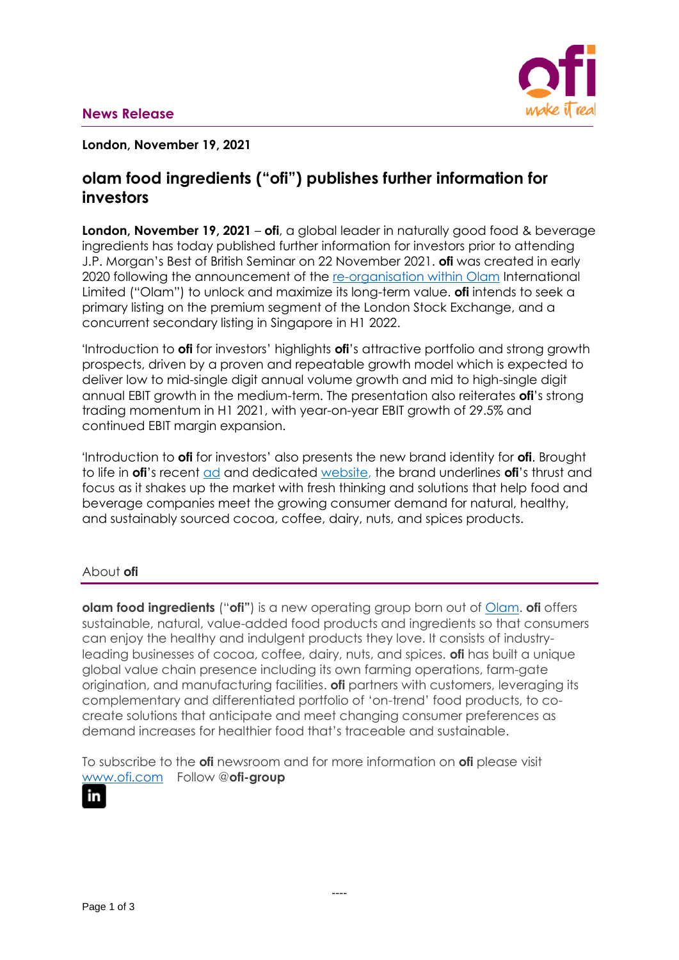

### **London, November 19, 2021**

# **olam food ingredients ("ofi") publishes further information for investors**

**London, November 19, 2021** – **ofi**, a global leader in naturally good food & beverage ingredients has today published further information for investors prior to attending J.P. Morgan's Best of British Seminar on 22 November 2021. **ofi** was created in early 2020 following the announcement of the [re-organisation within](https://www.olamgroup.com/content/dam/olamgroup/investor-relations/ir-library/sgx-filings/sgx-filings-pdfs/26Feb2021-Reorganisation-Update.pdf) Olam International Limited ("Olam") to unlock and maximize its long-term value. **ofi** intends to seek a primary listing on the premium segment of the London Stock Exchange, and a concurrent secondary listing in Singapore in H1 2022.

'Introduction to **ofi** for investors' highlights **ofi**'s attractive portfolio and strong growth prospects, driven by a proven and repeatable growth model which is expected to deliver low to mid-single digit annual volume growth and mid to high-single digit annual EBIT growth in the medium-term. The presentation also reiterates **ofi**'s strong trading momentum in H1 2021, with year-on-year EBIT growth of 29.5% and continued EBIT margin expansion.

'Introduction to **ofi** for investors' also presents the new brand identity for **ofi**. Brought to life in **ofi**'s recent [ad](https://www.youtube.com/watch?v=I1k-WzNBgm4) and dedicated [website,](http://www.ofi.com/) the brand underlines **ofi**'s thrust and focus as it shakes up the market with fresh thinking and solutions that help food and beverage companies meet the growing consumer demand for natural, healthy, and sustainably sourced cocoa, coffee, dairy, nuts, and spices products.

## About **ofi**

**olam food ingredients** ("**ofi"**) is a new operating group born out of [Olam.](http://www.olamgroup.com/) **ofi** offers sustainable, natural, value-added food products and ingredients so that consumers can enjoy the healthy and indulgent products they love. It consists of industryleading businesses of cocoa, coffee, dairy, nuts, and spices. **ofi** has built a unique global value chain presence including its own farming operations, farm-gate origination, and manufacturing facilities. **ofi** partners with customers, leveraging its complementary and differentiated portfolio of 'on-trend' food products, to cocreate solutions that anticipate and meet changing consumer preferences as demand increases for healthier food that's traceable and sustainable.

To subscribe to the **ofi** newsroom and for more information on **ofi** please visit [www.ofi.com](http://www.ofi.com/) Follow @**ofi-group**

# in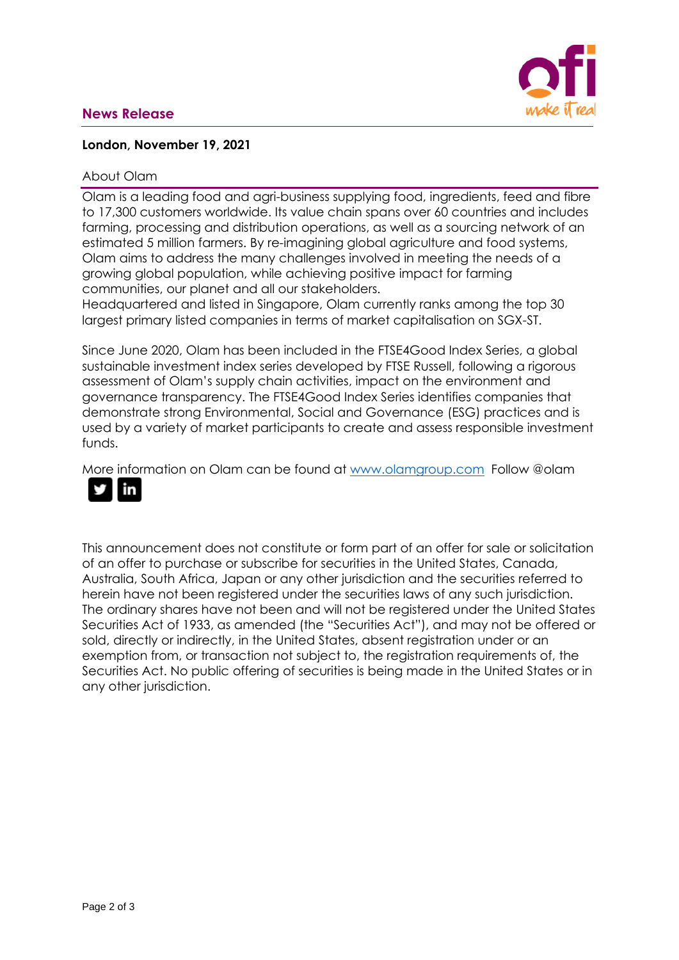## **News Release**



### **London, November 19, 2021**

#### About Olam

Olam is a leading food and agri-business supplying food, ingredients, feed and fibre to 17,300 customers worldwide. Its value chain spans over 60 countries and includes farming, processing and distribution operations, as well as a sourcing network of an estimated 5 million farmers. By re-imagining global agriculture and food systems, Olam aims to address the many challenges involved in meeting the needs of a growing global population, while achieving positive impact for farming communities, our planet and all our stakeholders.

Headquartered and listed in Singapore, Olam currently ranks among the top 30 largest primary listed companies in terms of market capitalisation on SGX-ST.

Since June 2020, Olam has been included in the FTSE4Good Index Series, a global sustainable investment index series developed by FTSE Russell, following a rigorous assessment of Olam's supply chain activities, impact on the environment and governance transparency. The FTSE4Good Index Series identifies companies that demonstrate strong Environmental, Social and Governance (ESG) practices and is used by a variety of market participants to create and assess responsible investment funds.

More information on Olam can be found at [www.olamgroup.com](http://www.olamgroup.com/) Follow @olam



This announcement does not constitute or form part of an offer for sale or solicitation of an offer to purchase or subscribe for securities in the United States, Canada, Australia, South Africa, Japan or any other jurisdiction and the securities referred to herein have not been registered under the securities laws of any such jurisdiction. The ordinary shares have not been and will not be registered under the United States Securities Act of 1933, as amended (the "Securities Act"), and may not be offered or sold, directly or indirectly, in the United States, absent registration under or an exemption from, or transaction not subject to, the registration requirements of, the Securities Act. No public offering of securities is being made in the United States or in any other jurisdiction.